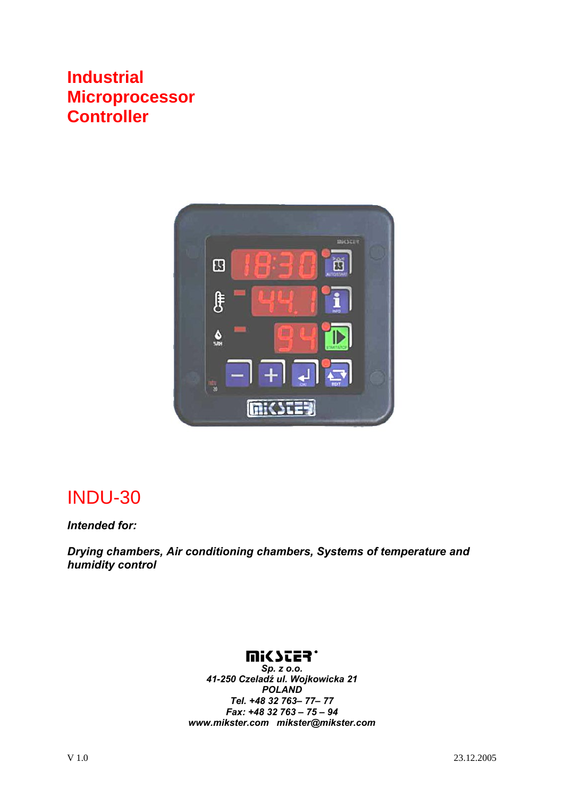#### **Industrial Microprocessor Controller**



## INDU-30

*Intended for:* 

*Drying chambers, Air conditioning chambers, Systems of temperature and humidity control* 

#### **UISSES.**

*Sp. z o.o. 41-250 Czeladź ul. Wojkowicka 21 POLAND Tel. +48 32 763– 77– 77 Fax: +48 32 763 – 75 – 94 www.mikster.com mikster@mikster.com*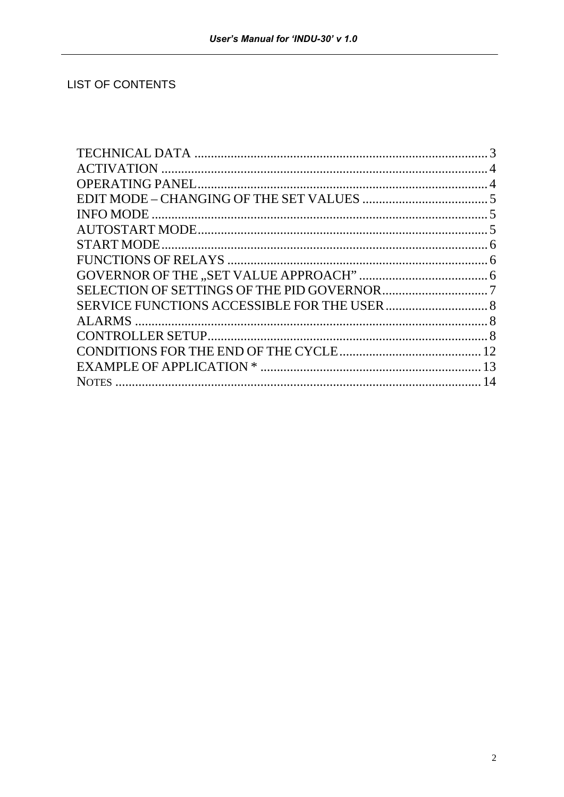#### **LIST OF CONTENTS**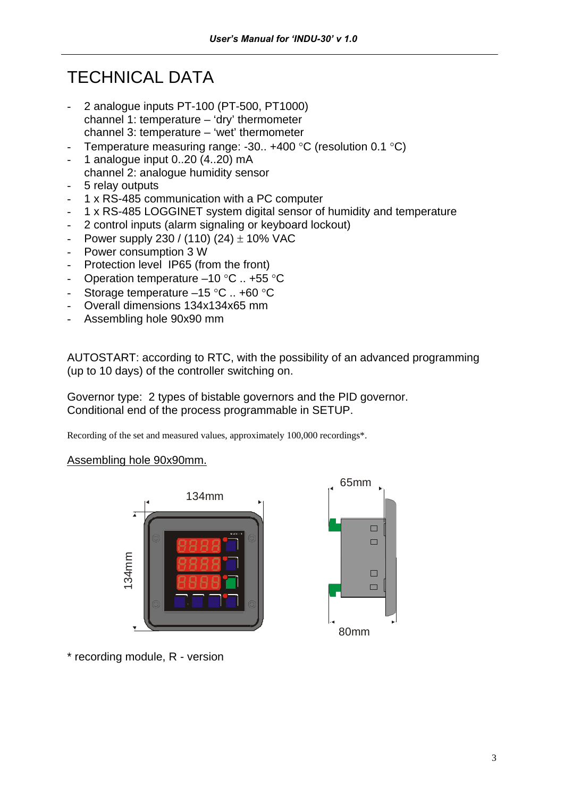## TECHNICAL DATA

- 2 analogue inputs PT-100 (PT-500, PT1000) channel 1: temperature – 'dry' thermometer channel 3: temperature – 'wet' thermometer
- Temperature measuring range: -30.. +400  $^{\circ}$ C (resolution 0.1  $^{\circ}$ C)
- 1 analogue input  $0..20$   $(4..20)$  mA channel 2: analogue humidity sensor
- 5 relay outputs
- 1 x RS-485 communication with a PC computer
- 1 x RS-485 LOGGINET system digital sensor of humidity and temperature
- 2 control inputs (alarm signaling or keyboard lockout)
- Power supply 230 / (110) (24)  $\pm$  10% VAC
- Power consumption 3 W
- Protection level IP65 (from the front)
- Operation temperature –10 °C .. +55 °C
- Storage temperature –15 °C .. +60 °C
- Overall dimensions 134x134x65 mm
- Assembling hole 90x90 mm

AUTOSTART: according to RTC, with the possibility of an advanced programming (up to 10 days) of the controller switching on.

Governor type: 2 types of bistable governors and the PID governor. Conditional end of the process programmable in SETUP.

Recording of the set and measured values, approximately 100,000 recordings\*.

Assembling hole 90x90mm.



\* recording module, R - version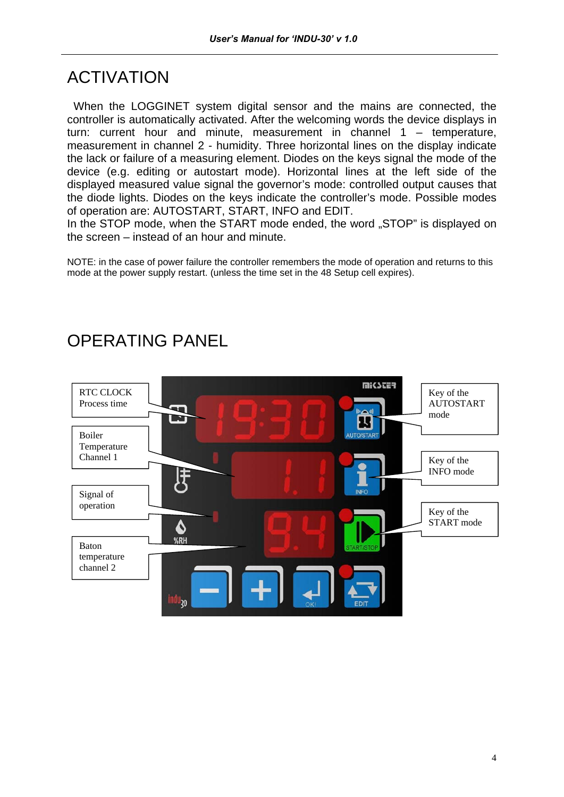#### ACTIVATION

 When the LOGGINET system digital sensor and the mains are connected, the controller is automatically activated. After the welcoming words the device displays in turn: current hour and minute, measurement in channel 1 – temperature, measurement in channel 2 - humidity. Three horizontal lines on the display indicate the lack or failure of a measuring element. Diodes on the keys signal the mode of the device (e.g. editing or autostart mode). Horizontal lines at the left side of the displayed measured value signal the governor's mode: controlled output causes that the diode lights. Diodes on the keys indicate the controller's mode. Possible modes of operation are: AUTOSTART, START, INFO and EDIT.

In the STOP mode, when the START mode ended, the word "STOP" is displayed on the screen – instead of an hour and minute.

NOTE: in the case of power failure the controller remembers the mode of operation and returns to this mode at the power supply restart. (unless the time set in the 48 Setup cell expires).



## OPERATING PANEL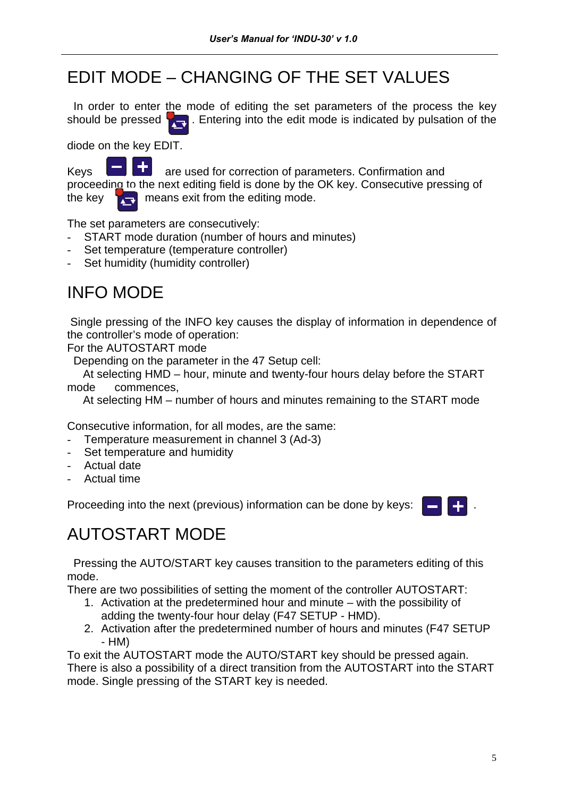## EDIT MODE – CHANGING OF THE SET VALUES

 In order to enter the mode of editing the set parameters of the process the key should be pressed  $\sqrt{\phantom{a}}$ . Entering into the edit mode is indicated by pulsation of the

diode on the key EDIT.

Keys  $\Box$   $\Box$  are used for correction of parameters. Confirmation and proceeding to the next editing field is done by the OK key. Consecutive pressing of the key  $\left| \frac{1}{\sqrt{1 + \frac{1}{n}}} \right|$  means exit from the editing mode.

The set parameters are consecutively:

- START mode duration (number of hours and minutes)
- Set temperature (temperature controller)
- Set humidity (humidity controller)

## INFO MODE

 Single pressing of the INFO key causes the display of information in dependence of the controller's mode of operation:

For the AUTOSTART mode

Depending on the parameter in the 47 Setup cell:

 At selecting HMD – hour, minute and twenty-four hours delay before the START mode commences,

At selecting HM – number of hours and minutes remaining to the START mode

Consecutive information, for all modes, are the same:

- Temperature measurement in channel 3 (Ad-3)
- Set temperature and humidity
- Actual date
- Actual time

Proceeding into the next (previous) information can be done by keys: .



## AUTOSTART MODE

 Pressing the AUTO/START key causes transition to the parameters editing of this mode.

There are two possibilities of setting the moment of the controller AUTOSTART:

- 1. Activation at the predetermined hour and minute with the possibility of adding the twenty-four hour delay (F47 SETUP - HMD).
- 2. Activation after the predetermined number of hours and minutes (F47 SETUP - HM)

To exit the AUTOSTART mode the AUTO/START key should be pressed again. There is also a possibility of a direct transition from the AUTOSTART into the START mode. Single pressing of the START key is needed.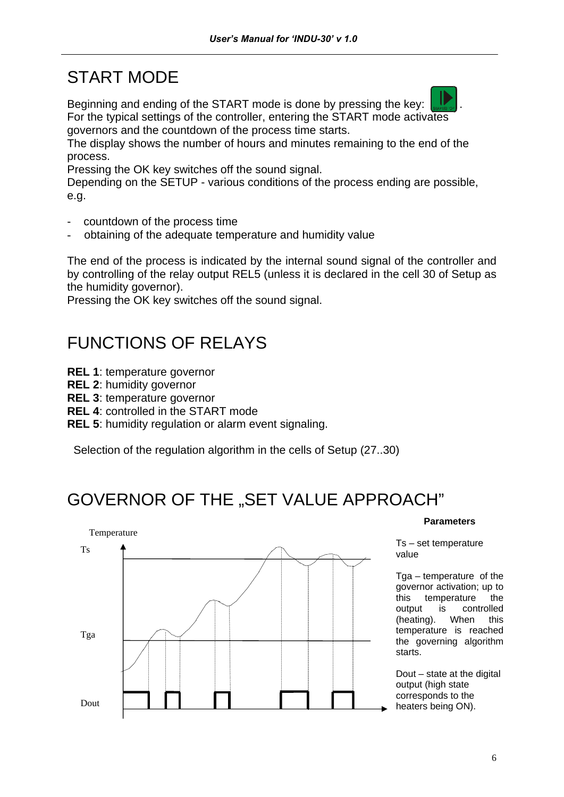## START MODE

Beginning and ending of the START mode is done by pressing the key: For the typical settings of the controller, entering the START mode activates governors and the countdown of the process time starts.

The display shows the number of hours and minutes remaining to the end of the process.

Pressing the OK key switches off the sound signal.

Depending on the SETUP - various conditions of the process ending are possible, e.g.

- countdown of the process time
- obtaining of the adequate temperature and humidity value

The end of the process is indicated by the internal sound signal of the controller and by controlling of the relay output REL5 (unless it is declared in the cell 30 of Setup as the humidity governor).

Pressing the OK key switches off the sound signal.

## FUNCTIONS OF RELAYS

- **REL 1**: temperature governor
- **REL 2**: humidity governor
- **REL 3**: temperature governor
- **REL 4**: controlled in the START mode
- **REL 5**: humidity regulation or alarm event signaling.

Selection of the regulation algorithm in the cells of Setup (27..30)

## GOVERNOR OF THE "SET VALUE APPROACH"



#### **Parameters**

Ts – set temperature value

Tga – temperature of the governor activation; up to this temperature the output is controlled (heating). When this temperature is reached the governing algorithm starts.

Dout – state at the digital output (high state corresponds to the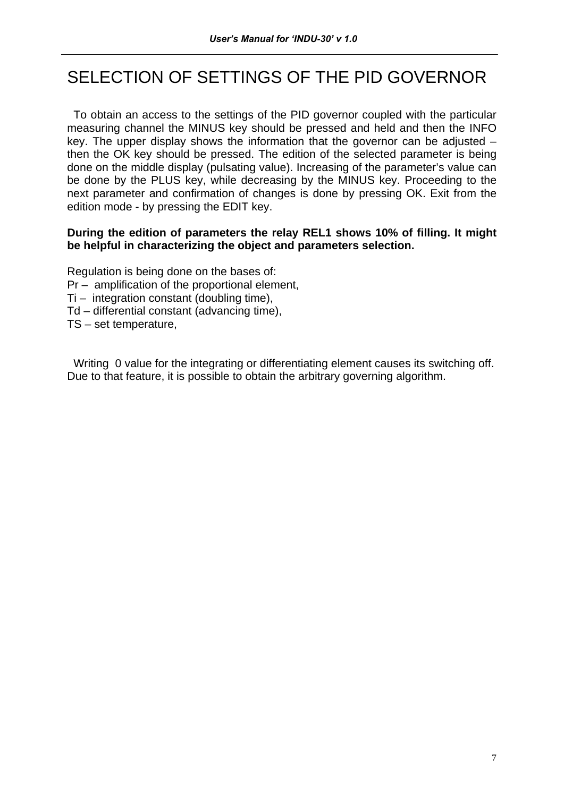## SELECTION OF SETTINGS OF THE PID GOVERNOR

 To obtain an access to the settings of the PID governor coupled with the particular measuring channel the MINUS key should be pressed and held and then the INFO key. The upper display shows the information that the governor can be adjusted  $$ then the OK key should be pressed. The edition of the selected parameter is being done on the middle display (pulsating value). Increasing of the parameter's value can be done by the PLUS key, while decreasing by the MINUS key. Proceeding to the next parameter and confirmation of changes is done by pressing OK. Exit from the edition mode - by pressing the EDIT key.

#### **During the edition of parameters the relay REL1 shows 10% of filling. It might be helpful in characterizing the object and parameters selection.**

Regulation is being done on the bases of:

- Pr amplification of the proportional element,
- Ti integration constant (doubling time),
- Td differential constant (advancing time),
- TS set temperature,

 Writing 0 value for the integrating or differentiating element causes its switching off. Due to that feature, it is possible to obtain the arbitrary governing algorithm.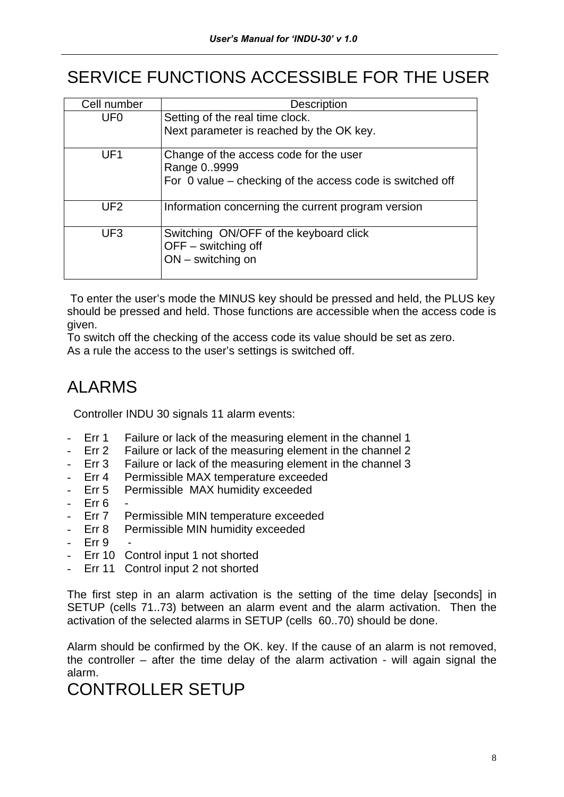## SERVICE FUNCTIONS ACCESSIBLE FOR THE USER

| Cell number     | Description                                                      |
|-----------------|------------------------------------------------------------------|
| UF <sub>0</sub> | Setting of the real time clock.                                  |
|                 | Next parameter is reached by the OK key.                         |
| UF <sub>1</sub> | Change of the access code for the user                           |
|                 | Range 09999                                                      |
|                 | For $\theta$ value – checking of the access code is switched off |
| UF <sub>2</sub> | Information concerning the current program version               |
| UF <sub>3</sub> | Switching ON/OFF of the keyboard click                           |
|                 | $OFF -$ switching off                                            |
|                 | $ON$ – switching on                                              |
|                 |                                                                  |

 To enter the user's mode the MINUS key should be pressed and held, the PLUS key should be pressed and held. Those functions are accessible when the access code is given.

To switch off the checking of the access code its value should be set as zero. As a rule the access to the user's settings is switched off.

## ALARMS

Controller INDU 30 signals 11 alarm events:

- Err 1 Failure or lack of the measuring element in the channel 1
- Err 2 Failure or lack of the measuring element in the channel 2
- Err 3 Failure or lack of the measuring element in the channel 3
- Err 4 Permissible MAX temperature exceeded
- Err 5 Permissible MAX humidity exceeded
- $-$  Err 6
- Err 7 Permissible MIN temperature exceeded
- Err 8 Permissible MIN humidity exceeded
- Err 9
- Err 10 Control input 1 not shorted
- Err 11 Control input 2 not shorted

The first step in an alarm activation is the setting of the time delay [seconds] in SETUP (cells 71..73) between an alarm event and the alarm activation. Then the activation of the selected alarms in SETUP (cells 60..70) should be done.

Alarm should be confirmed by the OK. key. If the cause of an alarm is not removed, the controller – after the time delay of the alarm activation - will again signal the alarm.

#### CONTROLLER SETUP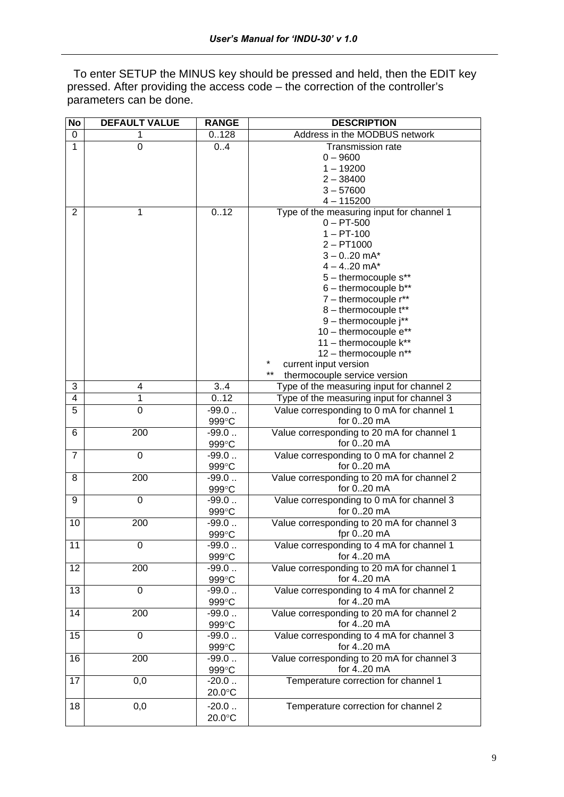To enter SETUP the MINUS key should be pressed and held, then the EDIT key pressed. After providing the access code – the correction of the controller's parameters can be done.

| Address in the MODBUS network<br>0.128<br>0<br>1<br>1<br>$\overline{0}$<br>0.4<br><b>Transmission rate</b><br>$0 - 9600$<br>$1 - 19200$<br>$2 - 38400$<br>$3 - 57600$<br>$4 - 115200$<br>0.12<br>Type of the measuring input for channel 1<br>2<br>1<br>$0 - PT-500$<br>$1 - PT-100$<br>$2 - PT1000$<br>$3 - 0.20$ mA*<br>$4 - 4.20$ mA*<br>5 - thermocouple s**<br>$6$ – thermocouple $b**$<br>$7$ – thermocouple $r^{**}$<br>8 - thermocouple t**<br>$9$ – thermocouple $j^{**}$<br>10 - thermocouple e**<br>11 - thermocouple k**<br>12 - thermocouple n**<br>$\star$<br>current input version<br>$***$<br>thermocouple service version<br>3<br>3.4<br>Type of the measuring input for channel 2<br>4<br>0.12<br>Type of the measuring input for channel 3<br>4<br>1<br>5<br>$\mathbf 0$<br>Value corresponding to 0 mA for channel 1<br>$-99.0$<br>for 020 mA<br>999°C<br>Value corresponding to 20 mA for channel 1<br>200<br>$-99.0$<br>6<br>for 020 mA<br>999°C<br>7<br>0<br>$-99.0$<br>Value corresponding to 0 mA for channel 2<br>for 020 mA<br>999°C<br>Value corresponding to 20 mA for channel 2<br>200<br>$-99.0$<br>8<br>for 020 mA<br>999°C<br>0<br>Value corresponding to 0 mA for channel 3<br>9<br>$-99.0$<br>for $020$ mA<br>999°C<br>10<br>200<br>Value corresponding to 20 mA for channel 3<br>$-99.0$<br>999°C<br>fpr $0.20 \text{ mA}$<br>11<br>0<br>-99.0<br>Value corresponding to 4 mA for channel 1<br>for 420 mA<br>999°C<br>12<br>Value corresponding to 20 mA for channel 1<br>200<br>$-99.0$<br>for 420 mA<br>999°C<br>13<br>Value corresponding to 4 mA for channel 2<br>0<br>$-99.0$<br>for 420 mA<br>999°C<br>14<br>200<br>$-99.0$<br>Value corresponding to 20 mA for channel 2<br>for 420 mA<br>999°C<br>15<br>$\mathbf 0$<br>Value corresponding to 4 mA for channel 3<br>$-99.0$<br>for 420 mA<br>999°C<br>16<br>200<br>$-99.0$<br>Value corresponding to 20 mA for channel 3<br>for 420 mA<br>999°C<br>17<br>0,0<br>$-20.0$<br>Temperature correction for channel 1<br>20.0°C<br>0,0<br>$-20.0$<br>18<br>Temperature correction for channel 2 | No | <b>DEFAULT VALUE</b> | <b>RANGE</b> | <b>DESCRIPTION</b> |
|---------------------------------------------------------------------------------------------------------------------------------------------------------------------------------------------------------------------------------------------------------------------------------------------------------------------------------------------------------------------------------------------------------------------------------------------------------------------------------------------------------------------------------------------------------------------------------------------------------------------------------------------------------------------------------------------------------------------------------------------------------------------------------------------------------------------------------------------------------------------------------------------------------------------------------------------------------------------------------------------------------------------------------------------------------------------------------------------------------------------------------------------------------------------------------------------------------------------------------------------------------------------------------------------------------------------------------------------------------------------------------------------------------------------------------------------------------------------------------------------------------------------------------------------------------------------------------------------------------------------------------------------------------------------------------------------------------------------------------------------------------------------------------------------------------------------------------------------------------------------------------------------------------------------------------------------------------------------------------------------------------------------------------------------------------------------------------------|----|----------------------|--------------|--------------------|
|                                                                                                                                                                                                                                                                                                                                                                                                                                                                                                                                                                                                                                                                                                                                                                                                                                                                                                                                                                                                                                                                                                                                                                                                                                                                                                                                                                                                                                                                                                                                                                                                                                                                                                                                                                                                                                                                                                                                                                                                                                                                                       |    |                      |              |                    |
|                                                                                                                                                                                                                                                                                                                                                                                                                                                                                                                                                                                                                                                                                                                                                                                                                                                                                                                                                                                                                                                                                                                                                                                                                                                                                                                                                                                                                                                                                                                                                                                                                                                                                                                                                                                                                                                                                                                                                                                                                                                                                       |    |                      |              |                    |
|                                                                                                                                                                                                                                                                                                                                                                                                                                                                                                                                                                                                                                                                                                                                                                                                                                                                                                                                                                                                                                                                                                                                                                                                                                                                                                                                                                                                                                                                                                                                                                                                                                                                                                                                                                                                                                                                                                                                                                                                                                                                                       |    |                      |              |                    |
|                                                                                                                                                                                                                                                                                                                                                                                                                                                                                                                                                                                                                                                                                                                                                                                                                                                                                                                                                                                                                                                                                                                                                                                                                                                                                                                                                                                                                                                                                                                                                                                                                                                                                                                                                                                                                                                                                                                                                                                                                                                                                       |    |                      |              |                    |
|                                                                                                                                                                                                                                                                                                                                                                                                                                                                                                                                                                                                                                                                                                                                                                                                                                                                                                                                                                                                                                                                                                                                                                                                                                                                                                                                                                                                                                                                                                                                                                                                                                                                                                                                                                                                                                                                                                                                                                                                                                                                                       |    |                      |              |                    |
|                                                                                                                                                                                                                                                                                                                                                                                                                                                                                                                                                                                                                                                                                                                                                                                                                                                                                                                                                                                                                                                                                                                                                                                                                                                                                                                                                                                                                                                                                                                                                                                                                                                                                                                                                                                                                                                                                                                                                                                                                                                                                       |    |                      |              |                    |
|                                                                                                                                                                                                                                                                                                                                                                                                                                                                                                                                                                                                                                                                                                                                                                                                                                                                                                                                                                                                                                                                                                                                                                                                                                                                                                                                                                                                                                                                                                                                                                                                                                                                                                                                                                                                                                                                                                                                                                                                                                                                                       |    |                      |              |                    |
|                                                                                                                                                                                                                                                                                                                                                                                                                                                                                                                                                                                                                                                                                                                                                                                                                                                                                                                                                                                                                                                                                                                                                                                                                                                                                                                                                                                                                                                                                                                                                                                                                                                                                                                                                                                                                                                                                                                                                                                                                                                                                       |    |                      |              |                    |
|                                                                                                                                                                                                                                                                                                                                                                                                                                                                                                                                                                                                                                                                                                                                                                                                                                                                                                                                                                                                                                                                                                                                                                                                                                                                                                                                                                                                                                                                                                                                                                                                                                                                                                                                                                                                                                                                                                                                                                                                                                                                                       |    |                      |              |                    |
|                                                                                                                                                                                                                                                                                                                                                                                                                                                                                                                                                                                                                                                                                                                                                                                                                                                                                                                                                                                                                                                                                                                                                                                                                                                                                                                                                                                                                                                                                                                                                                                                                                                                                                                                                                                                                                                                                                                                                                                                                                                                                       |    |                      |              |                    |
|                                                                                                                                                                                                                                                                                                                                                                                                                                                                                                                                                                                                                                                                                                                                                                                                                                                                                                                                                                                                                                                                                                                                                                                                                                                                                                                                                                                                                                                                                                                                                                                                                                                                                                                                                                                                                                                                                                                                                                                                                                                                                       |    |                      |              |                    |
|                                                                                                                                                                                                                                                                                                                                                                                                                                                                                                                                                                                                                                                                                                                                                                                                                                                                                                                                                                                                                                                                                                                                                                                                                                                                                                                                                                                                                                                                                                                                                                                                                                                                                                                                                                                                                                                                                                                                                                                                                                                                                       |    |                      |              |                    |
|                                                                                                                                                                                                                                                                                                                                                                                                                                                                                                                                                                                                                                                                                                                                                                                                                                                                                                                                                                                                                                                                                                                                                                                                                                                                                                                                                                                                                                                                                                                                                                                                                                                                                                                                                                                                                                                                                                                                                                                                                                                                                       |    |                      |              |                    |
|                                                                                                                                                                                                                                                                                                                                                                                                                                                                                                                                                                                                                                                                                                                                                                                                                                                                                                                                                                                                                                                                                                                                                                                                                                                                                                                                                                                                                                                                                                                                                                                                                                                                                                                                                                                                                                                                                                                                                                                                                                                                                       |    |                      |              |                    |
|                                                                                                                                                                                                                                                                                                                                                                                                                                                                                                                                                                                                                                                                                                                                                                                                                                                                                                                                                                                                                                                                                                                                                                                                                                                                                                                                                                                                                                                                                                                                                                                                                                                                                                                                                                                                                                                                                                                                                                                                                                                                                       |    |                      |              |                    |
|                                                                                                                                                                                                                                                                                                                                                                                                                                                                                                                                                                                                                                                                                                                                                                                                                                                                                                                                                                                                                                                                                                                                                                                                                                                                                                                                                                                                                                                                                                                                                                                                                                                                                                                                                                                                                                                                                                                                                                                                                                                                                       |    |                      |              |                    |
|                                                                                                                                                                                                                                                                                                                                                                                                                                                                                                                                                                                                                                                                                                                                                                                                                                                                                                                                                                                                                                                                                                                                                                                                                                                                                                                                                                                                                                                                                                                                                                                                                                                                                                                                                                                                                                                                                                                                                                                                                                                                                       |    |                      |              |                    |
|                                                                                                                                                                                                                                                                                                                                                                                                                                                                                                                                                                                                                                                                                                                                                                                                                                                                                                                                                                                                                                                                                                                                                                                                                                                                                                                                                                                                                                                                                                                                                                                                                                                                                                                                                                                                                                                                                                                                                                                                                                                                                       |    |                      |              |                    |
|                                                                                                                                                                                                                                                                                                                                                                                                                                                                                                                                                                                                                                                                                                                                                                                                                                                                                                                                                                                                                                                                                                                                                                                                                                                                                                                                                                                                                                                                                                                                                                                                                                                                                                                                                                                                                                                                                                                                                                                                                                                                                       |    |                      |              |                    |
|                                                                                                                                                                                                                                                                                                                                                                                                                                                                                                                                                                                                                                                                                                                                                                                                                                                                                                                                                                                                                                                                                                                                                                                                                                                                                                                                                                                                                                                                                                                                                                                                                                                                                                                                                                                                                                                                                                                                                                                                                                                                                       |    |                      |              |                    |
|                                                                                                                                                                                                                                                                                                                                                                                                                                                                                                                                                                                                                                                                                                                                                                                                                                                                                                                                                                                                                                                                                                                                                                                                                                                                                                                                                                                                                                                                                                                                                                                                                                                                                                                                                                                                                                                                                                                                                                                                                                                                                       |    |                      |              |                    |
|                                                                                                                                                                                                                                                                                                                                                                                                                                                                                                                                                                                                                                                                                                                                                                                                                                                                                                                                                                                                                                                                                                                                                                                                                                                                                                                                                                                                                                                                                                                                                                                                                                                                                                                                                                                                                                                                                                                                                                                                                                                                                       |    |                      |              |                    |
|                                                                                                                                                                                                                                                                                                                                                                                                                                                                                                                                                                                                                                                                                                                                                                                                                                                                                                                                                                                                                                                                                                                                                                                                                                                                                                                                                                                                                                                                                                                                                                                                                                                                                                                                                                                                                                                                                                                                                                                                                                                                                       |    |                      |              |                    |
|                                                                                                                                                                                                                                                                                                                                                                                                                                                                                                                                                                                                                                                                                                                                                                                                                                                                                                                                                                                                                                                                                                                                                                                                                                                                                                                                                                                                                                                                                                                                                                                                                                                                                                                                                                                                                                                                                                                                                                                                                                                                                       |    |                      |              |                    |
|                                                                                                                                                                                                                                                                                                                                                                                                                                                                                                                                                                                                                                                                                                                                                                                                                                                                                                                                                                                                                                                                                                                                                                                                                                                                                                                                                                                                                                                                                                                                                                                                                                                                                                                                                                                                                                                                                                                                                                                                                                                                                       |    |                      |              |                    |
|                                                                                                                                                                                                                                                                                                                                                                                                                                                                                                                                                                                                                                                                                                                                                                                                                                                                                                                                                                                                                                                                                                                                                                                                                                                                                                                                                                                                                                                                                                                                                                                                                                                                                                                                                                                                                                                                                                                                                                                                                                                                                       |    |                      |              |                    |
|                                                                                                                                                                                                                                                                                                                                                                                                                                                                                                                                                                                                                                                                                                                                                                                                                                                                                                                                                                                                                                                                                                                                                                                                                                                                                                                                                                                                                                                                                                                                                                                                                                                                                                                                                                                                                                                                                                                                                                                                                                                                                       |    |                      |              |                    |
|                                                                                                                                                                                                                                                                                                                                                                                                                                                                                                                                                                                                                                                                                                                                                                                                                                                                                                                                                                                                                                                                                                                                                                                                                                                                                                                                                                                                                                                                                                                                                                                                                                                                                                                                                                                                                                                                                                                                                                                                                                                                                       |    |                      |              |                    |
|                                                                                                                                                                                                                                                                                                                                                                                                                                                                                                                                                                                                                                                                                                                                                                                                                                                                                                                                                                                                                                                                                                                                                                                                                                                                                                                                                                                                                                                                                                                                                                                                                                                                                                                                                                                                                                                                                                                                                                                                                                                                                       |    |                      |              |                    |
|                                                                                                                                                                                                                                                                                                                                                                                                                                                                                                                                                                                                                                                                                                                                                                                                                                                                                                                                                                                                                                                                                                                                                                                                                                                                                                                                                                                                                                                                                                                                                                                                                                                                                                                                                                                                                                                                                                                                                                                                                                                                                       |    |                      |              |                    |
|                                                                                                                                                                                                                                                                                                                                                                                                                                                                                                                                                                                                                                                                                                                                                                                                                                                                                                                                                                                                                                                                                                                                                                                                                                                                                                                                                                                                                                                                                                                                                                                                                                                                                                                                                                                                                                                                                                                                                                                                                                                                                       |    |                      |              |                    |
|                                                                                                                                                                                                                                                                                                                                                                                                                                                                                                                                                                                                                                                                                                                                                                                                                                                                                                                                                                                                                                                                                                                                                                                                                                                                                                                                                                                                                                                                                                                                                                                                                                                                                                                                                                                                                                                                                                                                                                                                                                                                                       |    |                      |              |                    |
|                                                                                                                                                                                                                                                                                                                                                                                                                                                                                                                                                                                                                                                                                                                                                                                                                                                                                                                                                                                                                                                                                                                                                                                                                                                                                                                                                                                                                                                                                                                                                                                                                                                                                                                                                                                                                                                                                                                                                                                                                                                                                       |    |                      |              |                    |
|                                                                                                                                                                                                                                                                                                                                                                                                                                                                                                                                                                                                                                                                                                                                                                                                                                                                                                                                                                                                                                                                                                                                                                                                                                                                                                                                                                                                                                                                                                                                                                                                                                                                                                                                                                                                                                                                                                                                                                                                                                                                                       |    |                      |              |                    |
|                                                                                                                                                                                                                                                                                                                                                                                                                                                                                                                                                                                                                                                                                                                                                                                                                                                                                                                                                                                                                                                                                                                                                                                                                                                                                                                                                                                                                                                                                                                                                                                                                                                                                                                                                                                                                                                                                                                                                                                                                                                                                       |    |                      |              |                    |
|                                                                                                                                                                                                                                                                                                                                                                                                                                                                                                                                                                                                                                                                                                                                                                                                                                                                                                                                                                                                                                                                                                                                                                                                                                                                                                                                                                                                                                                                                                                                                                                                                                                                                                                                                                                                                                                                                                                                                                                                                                                                                       |    |                      |              |                    |
|                                                                                                                                                                                                                                                                                                                                                                                                                                                                                                                                                                                                                                                                                                                                                                                                                                                                                                                                                                                                                                                                                                                                                                                                                                                                                                                                                                                                                                                                                                                                                                                                                                                                                                                                                                                                                                                                                                                                                                                                                                                                                       |    |                      |              |                    |
|                                                                                                                                                                                                                                                                                                                                                                                                                                                                                                                                                                                                                                                                                                                                                                                                                                                                                                                                                                                                                                                                                                                                                                                                                                                                                                                                                                                                                                                                                                                                                                                                                                                                                                                                                                                                                                                                                                                                                                                                                                                                                       |    |                      |              |                    |
|                                                                                                                                                                                                                                                                                                                                                                                                                                                                                                                                                                                                                                                                                                                                                                                                                                                                                                                                                                                                                                                                                                                                                                                                                                                                                                                                                                                                                                                                                                                                                                                                                                                                                                                                                                                                                                                                                                                                                                                                                                                                                       |    |                      |              |                    |
|                                                                                                                                                                                                                                                                                                                                                                                                                                                                                                                                                                                                                                                                                                                                                                                                                                                                                                                                                                                                                                                                                                                                                                                                                                                                                                                                                                                                                                                                                                                                                                                                                                                                                                                                                                                                                                                                                                                                                                                                                                                                                       |    |                      |              |                    |
|                                                                                                                                                                                                                                                                                                                                                                                                                                                                                                                                                                                                                                                                                                                                                                                                                                                                                                                                                                                                                                                                                                                                                                                                                                                                                                                                                                                                                                                                                                                                                                                                                                                                                                                                                                                                                                                                                                                                                                                                                                                                                       |    |                      |              |                    |
|                                                                                                                                                                                                                                                                                                                                                                                                                                                                                                                                                                                                                                                                                                                                                                                                                                                                                                                                                                                                                                                                                                                                                                                                                                                                                                                                                                                                                                                                                                                                                                                                                                                                                                                                                                                                                                                                                                                                                                                                                                                                                       |    |                      |              |                    |
|                                                                                                                                                                                                                                                                                                                                                                                                                                                                                                                                                                                                                                                                                                                                                                                                                                                                                                                                                                                                                                                                                                                                                                                                                                                                                                                                                                                                                                                                                                                                                                                                                                                                                                                                                                                                                                                                                                                                                                                                                                                                                       |    |                      |              |                    |
|                                                                                                                                                                                                                                                                                                                                                                                                                                                                                                                                                                                                                                                                                                                                                                                                                                                                                                                                                                                                                                                                                                                                                                                                                                                                                                                                                                                                                                                                                                                                                                                                                                                                                                                                                                                                                                                                                                                                                                                                                                                                                       |    |                      |              |                    |
|                                                                                                                                                                                                                                                                                                                                                                                                                                                                                                                                                                                                                                                                                                                                                                                                                                                                                                                                                                                                                                                                                                                                                                                                                                                                                                                                                                                                                                                                                                                                                                                                                                                                                                                                                                                                                                                                                                                                                                                                                                                                                       |    |                      |              |                    |
|                                                                                                                                                                                                                                                                                                                                                                                                                                                                                                                                                                                                                                                                                                                                                                                                                                                                                                                                                                                                                                                                                                                                                                                                                                                                                                                                                                                                                                                                                                                                                                                                                                                                                                                                                                                                                                                                                                                                                                                                                                                                                       |    |                      |              |                    |
|                                                                                                                                                                                                                                                                                                                                                                                                                                                                                                                                                                                                                                                                                                                                                                                                                                                                                                                                                                                                                                                                                                                                                                                                                                                                                                                                                                                                                                                                                                                                                                                                                                                                                                                                                                                                                                                                                                                                                                                                                                                                                       |    |                      |              |                    |
|                                                                                                                                                                                                                                                                                                                                                                                                                                                                                                                                                                                                                                                                                                                                                                                                                                                                                                                                                                                                                                                                                                                                                                                                                                                                                                                                                                                                                                                                                                                                                                                                                                                                                                                                                                                                                                                                                                                                                                                                                                                                                       |    |                      |              |                    |
|                                                                                                                                                                                                                                                                                                                                                                                                                                                                                                                                                                                                                                                                                                                                                                                                                                                                                                                                                                                                                                                                                                                                                                                                                                                                                                                                                                                                                                                                                                                                                                                                                                                                                                                                                                                                                                                                                                                                                                                                                                                                                       |    |                      |              |                    |
|                                                                                                                                                                                                                                                                                                                                                                                                                                                                                                                                                                                                                                                                                                                                                                                                                                                                                                                                                                                                                                                                                                                                                                                                                                                                                                                                                                                                                                                                                                                                                                                                                                                                                                                                                                                                                                                                                                                                                                                                                                                                                       |    |                      |              |                    |
|                                                                                                                                                                                                                                                                                                                                                                                                                                                                                                                                                                                                                                                                                                                                                                                                                                                                                                                                                                                                                                                                                                                                                                                                                                                                                                                                                                                                                                                                                                                                                                                                                                                                                                                                                                                                                                                                                                                                                                                                                                                                                       |    |                      |              |                    |
|                                                                                                                                                                                                                                                                                                                                                                                                                                                                                                                                                                                                                                                                                                                                                                                                                                                                                                                                                                                                                                                                                                                                                                                                                                                                                                                                                                                                                                                                                                                                                                                                                                                                                                                                                                                                                                                                                                                                                                                                                                                                                       |    |                      |              |                    |
|                                                                                                                                                                                                                                                                                                                                                                                                                                                                                                                                                                                                                                                                                                                                                                                                                                                                                                                                                                                                                                                                                                                                                                                                                                                                                                                                                                                                                                                                                                                                                                                                                                                                                                                                                                                                                                                                                                                                                                                                                                                                                       |    |                      |              |                    |
|                                                                                                                                                                                                                                                                                                                                                                                                                                                                                                                                                                                                                                                                                                                                                                                                                                                                                                                                                                                                                                                                                                                                                                                                                                                                                                                                                                                                                                                                                                                                                                                                                                                                                                                                                                                                                                                                                                                                                                                                                                                                                       |    |                      | 20.0°C       |                    |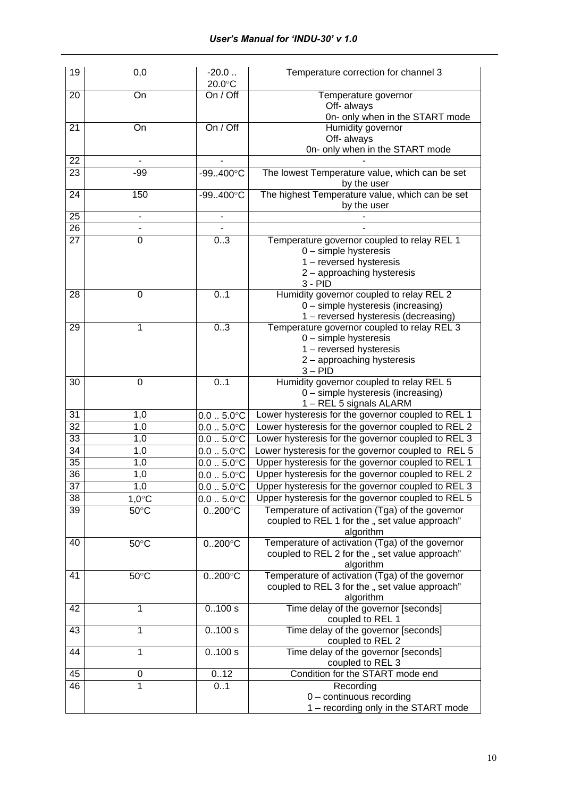| 19 | 0,0             | $-20.0$<br>20.0°C             | Temperature correction for channel 3               |
|----|-----------------|-------------------------------|----------------------------------------------------|
| 20 | On              | On / Off                      | Temperature governor                               |
|    |                 |                               | Off- always                                        |
|    |                 |                               | On- only when in the START mode                    |
| 21 | On              | On / Off                      | Humidity governor                                  |
|    |                 |                               | Off- always                                        |
|    |                 |                               | On- only when in the START mode                    |
| 22 |                 |                               |                                                    |
| 23 | $-99$           | $-99.400^{\circ}$ C           | The lowest Temperature value, which can be set     |
|    |                 |                               | by the user                                        |
| 24 | 150             | $-99400^{\circ}C$             | The highest Temperature value, which can be set    |
|    |                 |                               | by the user                                        |
| 25 |                 |                               |                                                    |
| 26 |                 |                               |                                                    |
| 27 | 0               | 0.3                           | Temperature governor coupled to relay REL 1        |
|    |                 |                               | $0$ – simple hysteresis                            |
|    |                 |                               | 1 - reversed hysteresis                            |
|    |                 |                               | 2 - approaching hysteresis                         |
|    |                 |                               | $3 - PID$                                          |
| 28 | 0               | 0.1                           | Humidity governor coupled to relay REL 2           |
|    |                 |                               | 0 - simple hysteresis (increasing)                 |
|    |                 |                               | 1 - reversed hysteresis (decreasing)               |
| 29 | 1               | 03                            | Temperature governor coupled to relay REL 3        |
|    |                 |                               | $0$ – simple hysteresis                            |
|    |                 |                               | 1 - reversed hysteresis                            |
|    |                 |                               | 2 - approaching hysteresis                         |
|    |                 |                               | $3 - PID$                                          |
| 30 | $\mathbf 0$     | 0.1                           | Humidity governor coupled to relay REL 5           |
|    |                 |                               | 0 - simple hysteresis (increasing)                 |
|    |                 |                               | 1 - REL 5 signals ALARM                            |
| 31 | 1,0             | $0.0-.5.0^{\circ}C$           | Lower hysteresis for the governor coupled to REL 1 |
| 32 | 1,0             | $0.0-.5.0^{\circ}C$           | Lower hysteresis for the governor coupled to REL 2 |
| 33 | 1,0             | $0.0-.5.0^{\circ}C$           | Lower hysteresis for the governor coupled to REL 3 |
| 34 | 1,0             | $0.0-.5.0^{\circ}C$           | Lower hysteresis for the governor coupled to REL 5 |
| 35 | 1,0             | $0.0-.5.0$ °C                 | Upper hysteresis for the governor coupled to REL 1 |
| 36 | 1,0             | $0.0$ $5.0^{\circ}$ C         | Upper hysteresis for the governor coupled to REL 2 |
| 37 | 1,0             | $0.0$ $5.0^{\circ}\mathrm{C}$ | Upper hysteresis for the governor coupled to REL 3 |
| 38 | $1,0^{\circ}$ C | $0.0$ $5.0^{\circ}$ C         | Upper hysteresis for the governor coupled to REL 5 |
| 39 | $50^{\circ}$ C  |                               | Temperature of activation (Tga) of the governor    |
|    |                 | $0.200^{\circ}$ C             | coupled to REL 1 for the " set value approach"     |
|    |                 |                               | algorithm                                          |
| 40 | $50^{\circ}$ C  | $0.200^{\circ}$ C             | Temperature of activation (Tga) of the governor    |
|    |                 |                               | coupled to REL 2 for the " set value approach"     |
|    |                 |                               | algorithm                                          |
| 41 | $50^{\circ}$ C  | $0200^{\circ}C$               | Temperature of activation (Tga) of the governor    |
|    |                 |                               | coupled to REL 3 for the " set value approach"     |
|    |                 |                               | algorithm                                          |
| 42 | 1               | 0.100 s                       | Time delay of the governor [seconds]               |
|    |                 |                               | coupled to REL 1                                   |
| 43 | 1               | 0.100 s                       | Time delay of the governor [seconds]               |
|    |                 |                               | coupled to REL 2                                   |
| 44 | 1               | 0.100 s                       | Time delay of the governor [seconds]               |
|    |                 |                               | coupled to REL 3                                   |
| 45 | 0               | 0.12                          | Condition for the START mode end                   |
| 46 | 1               | 0.1                           | Recording                                          |
|    |                 |                               | $0$ – continuous recording                         |
|    |                 |                               | 1 - recording only in the START mode               |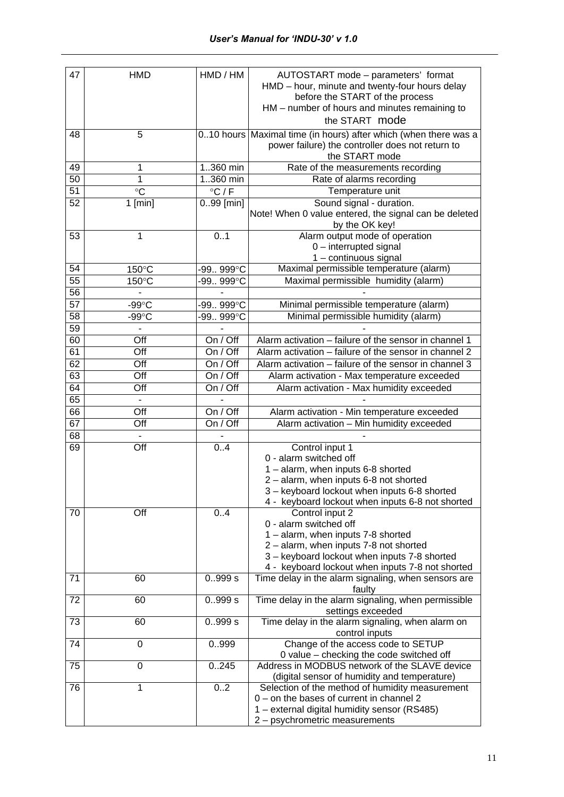| 47 | <b>HMD</b>      | HMD / HM        | AUTOSTART mode - parameters' format<br>HMD - hour, minute and twenty-four hours delay<br>before the START of the process<br>HM – number of hours and minutes remaining to<br>the START mode                                                                                                                                             |
|----|-----------------|-----------------|-----------------------------------------------------------------------------------------------------------------------------------------------------------------------------------------------------------------------------------------------------------------------------------------------------------------------------------------|
| 48 | 5               |                 | 010 hours Maximal time (in hours) after which (when there was a<br>power failure) the controller does not return to<br>the START mode                                                                                                                                                                                                   |
| 49 | 1               | 1360 min        | Rate of the measurements recording                                                                                                                                                                                                                                                                                                      |
| 50 | 1               | $1.360$ min     | Rate of alarms recording                                                                                                                                                                                                                                                                                                                |
| 51 | $\circ$ C       | $\degree$ C / F | Temperature unit                                                                                                                                                                                                                                                                                                                        |
| 52 | $1$ [min]       | $0.99$ [min]    | Sound signal - duration.<br>Note! When 0 value entered, the signal can be deleted<br>by the OK key!                                                                                                                                                                                                                                     |
| 53 | 1               | 0.1             | Alarm output mode of operation<br>0 - interrupted signal<br>1 - continuous signal                                                                                                                                                                                                                                                       |
| 54 | 150°C           | -99999°C        | Maximal permissible temperature (alarm)                                                                                                                                                                                                                                                                                                 |
| 55 | 150°C           | -99 999°C       | Maximal permissible humidity (alarm)                                                                                                                                                                                                                                                                                                    |
| 56 |                 |                 |                                                                                                                                                                                                                                                                                                                                         |
| 57 | $-99^{\circ}$ C | -99999°C        | Minimal permissible temperature (alarm)                                                                                                                                                                                                                                                                                                 |
| 58 | $-99^{\circ}$ C | -99999°C        | Minimal permissible humidity (alarm)                                                                                                                                                                                                                                                                                                    |
| 59 | $\blacksquare$  |                 |                                                                                                                                                                                                                                                                                                                                         |
| 60 | Off             | On / Off        | Alarm activation - failure of the sensor in channel 1                                                                                                                                                                                                                                                                                   |
| 61 | Off             | On / Off        | Alarm activation - failure of the sensor in channel 2                                                                                                                                                                                                                                                                                   |
| 62 | Off             | On / Off        | Alarm activation - failure of the sensor in channel 3                                                                                                                                                                                                                                                                                   |
| 63 | Off             | On / Off        | Alarm activation - Max temperature exceeded                                                                                                                                                                                                                                                                                             |
| 64 | Off             | On / Off        | Alarm activation - Max humidity exceeded                                                                                                                                                                                                                                                                                                |
| 65 | $\blacksquare$  | $\sim$          |                                                                                                                                                                                                                                                                                                                                         |
| 66 | Off             | On / Off        | Alarm activation - Min temperature exceeded                                                                                                                                                                                                                                                                                             |
| 67 | Off             | On / Off        | Alarm activation - Min humidity exceeded                                                                                                                                                                                                                                                                                                |
| 68 |                 |                 |                                                                                                                                                                                                                                                                                                                                         |
| 69 | Off             | 0.4             | Control input 1                                                                                                                                                                                                                                                                                                                         |
| 70 | Off             | 0.4             | 0 - alarm switched off<br>1 - alarm, when inputs 6-8 shorted<br>2 - alarm, when inputs 6-8 not shorted<br>3 - keyboard lockout when inputs 6-8 shorted<br>4 - keyboard lockout when inputs 6-8 not shorted<br>Control input 2<br>0 - alarm switched off<br>1 - alarm, when inputs 7-8 shorted<br>2 - alarm, when inputs 7-8 not shorted |
|    |                 |                 | 3 - keyboard lockout when inputs 7-8 shorted<br>4 - keyboard lockout when inputs 7-8 not shorted                                                                                                                                                                                                                                        |
| 71 | 60              | 0.999 s         | Time delay in the alarm signaling, when sensors are<br>faulty                                                                                                                                                                                                                                                                           |
| 72 | 60              | 0.999 s         | Time delay in the alarm signaling, when permissible<br>settings exceeded                                                                                                                                                                                                                                                                |
| 73 | 60              | 0.999 s         | Time delay in the alarm signaling, when alarm on<br>control inputs                                                                                                                                                                                                                                                                      |
| 74 | 0               | 0999            | Change of the access code to SETUP<br>0 value - checking the code switched off                                                                                                                                                                                                                                                          |
| 75 | 0               | 0.245           | Address in MODBUS network of the SLAVE device<br>(digital sensor of humidity and temperature)                                                                                                                                                                                                                                           |
| 76 | 1               | 02              | Selection of the method of humidity measurement<br>0 - on the bases of current in channel 2<br>1 - external digital humidity sensor (RS485)<br>2 - psychrometric measurements                                                                                                                                                           |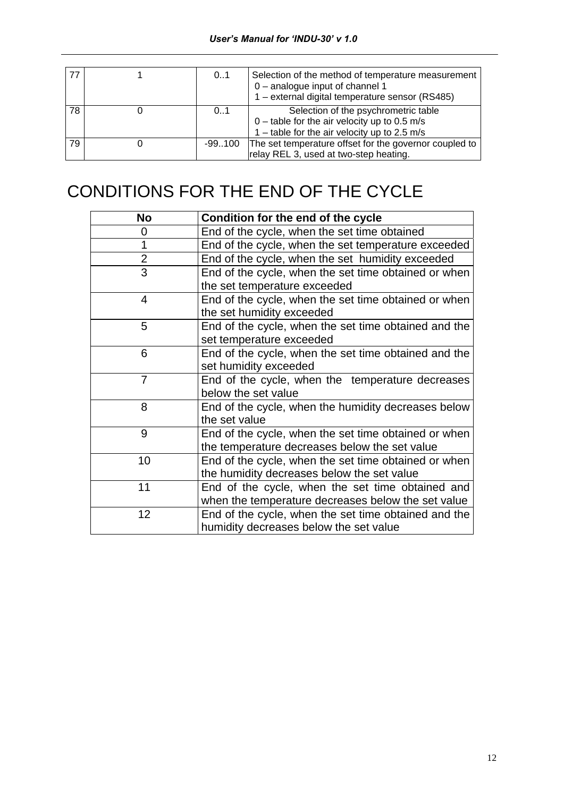|    | 0.1       | Selection of the method of temperature measurement<br>0 - analogue input of channel 1<br>1 – external digital temperature sensor (RS485) |
|----|-----------|------------------------------------------------------------------------------------------------------------------------------------------|
| 78 | 0.1       | Selection of the psychrometric table<br>$0$ – table for the air velocity up to 0.5 m/s<br>1 – table for the air velocity up to 2.5 m/s   |
| 79 | $-99.100$ | The set temperature offset for the governor coupled to<br>relay REL 3, used at two-step heating.                                         |

# CONDITIONS FOR THE END OF THE CYCLE

| No             | Condition for the end of the cycle                   |
|----------------|------------------------------------------------------|
| 0              | End of the cycle, when the set time obtained         |
| 1              | End of the cycle, when the set temperature exceeded  |
| $\overline{2}$ | End of the cycle, when the set humidity exceeded     |
| $\overline{3}$ | End of the cycle, when the set time obtained or when |
|                | the set temperature exceeded                         |
| $\overline{4}$ | End of the cycle, when the set time obtained or when |
|                | the set humidity exceeded                            |
| 5              | End of the cycle, when the set time obtained and the |
|                | set temperature exceeded                             |
| 6              | End of the cycle, when the set time obtained and the |
|                | set humidity exceeded                                |
| $\overline{7}$ | End of the cycle, when the temperature decreases     |
|                | below the set value                                  |
| 8              | End of the cycle, when the humidity decreases below  |
|                | the set value                                        |
| 9              | End of the cycle, when the set time obtained or when |
|                | the temperature decreases below the set value        |
| 10             | End of the cycle, when the set time obtained or when |
|                | the humidity decreases below the set value           |
| 11             | End of the cycle, when the set time obtained and     |
|                | when the temperature decreases below the set value   |
| 12             | End of the cycle, when the set time obtained and the |
|                | humidity decreases below the set value               |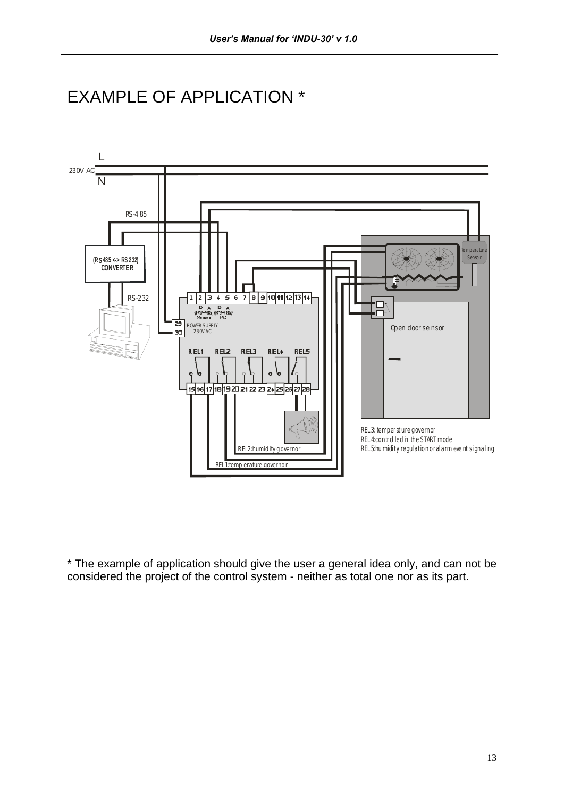



\* The example of application should give the user a general idea only, and can not be considered the project of the control system - neither as total one nor as its part.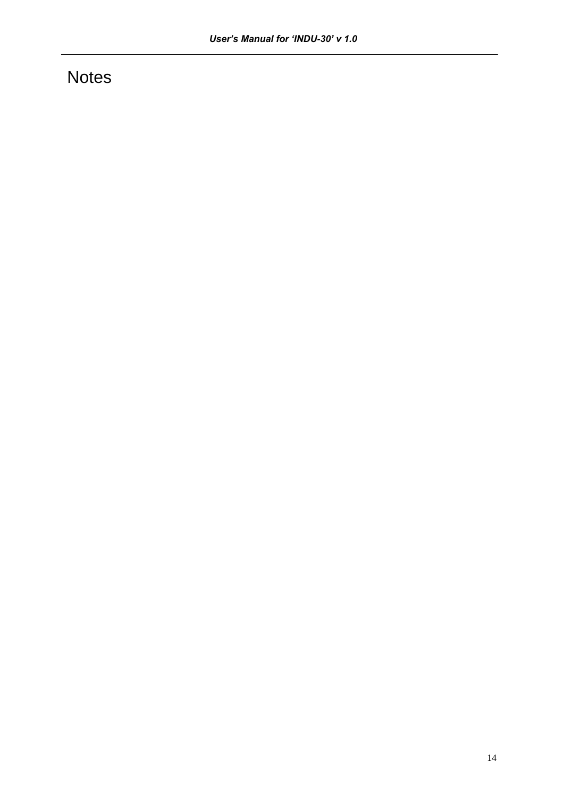## **Notes**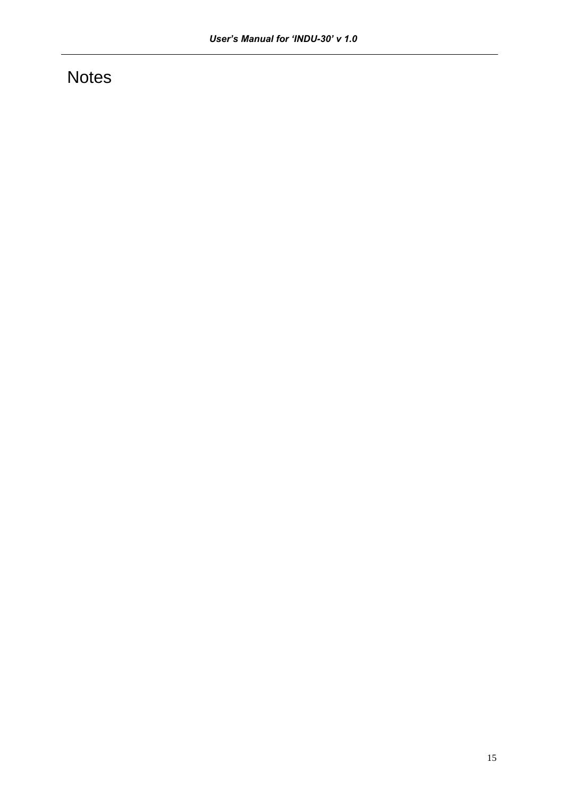## **Notes**